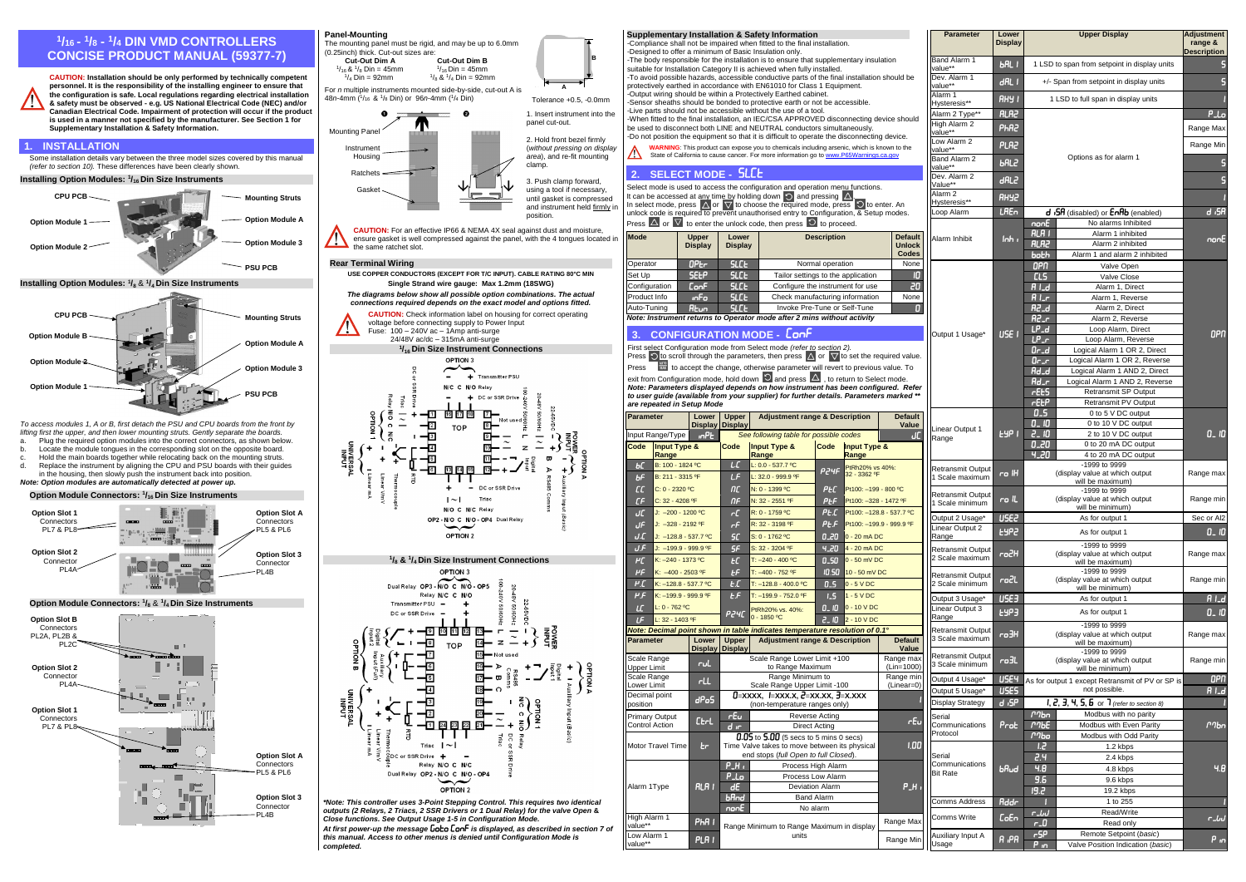## **1 /16 - 1 /<sup>8</sup> - 1 /<sup>4</sup> DIN VMD CONTROLLERS CONCISE PRODUCT MANUAL (59377-7)**



**CAUTION: Installation should be only performed by technically competent personnel. It is the responsibility of the installing engineer to ensure that the configuration is safe. Local regulations regarding electrical installation & safety must be observed - e.g. US National Electrical Code (NEC) and/or Canadian Electrical Code. Impairment of protection will occur if the product is used in a manner not specified by the manufacturer. See Section 1 for Supplementary Installation & Safety Information.**

## **1. INSTALLATION**

Some installation details vary between the three model sizes covered by this manual *(refer to section 10).* These differences have been clearly shown.

- a. Plug the required option modules into the correct connectors, as shown below.<br>b. Locate the module tongues in the corresponding slot on the opposite board.
- Locate the module tongues in the corresponding slot on the opposite board. c. Hold the main boards together while relocating back on the mounting struts.
- d. Replace the instrument by aligning the CPU and PSU boards with their guides
- in the housing, then slowly push the instrument back into position. *Note: Option modules are automatically detected at power up.*





*To access modules 1, A or B, first detach the PSU and CPU boards from the front by lifting first the upper, and then lower mounting struts. Gently separate the boards.*



**Option Slot 3**  Connector PL4B





position.

**CAUTION:** For an effective IP66 & NEMA 4X seal against dust and moisture, ensure gasket is well compressed against the panel, with the 4 tongues located in the same ratchet slot.

## **Rear Terminal Wiring**



*\*Note: This controller uses 3-Point Stepping Control. This requires two identical outputs (2 Relays, 2 Triacs, 2 SSR Drivers or 1 Dual Relay) for the valve Open* **&**  *Close functions. See Output Usage 1-5 in Configuration Mode.*

*At first power-up the message is displayed, as described in section 7 of this manual. Access to other menus is denied until Configuration Mode is completed.*

|  | s $\Delta$ or $\nabla$ to enter the unlock code, then press $\Omega$ to proceed. |  |  |
|--|----------------------------------------------------------------------------------|--|--|
|  |                                                                                  |  |  |

| Mode                                                                    | <b>Upper</b><br><b>Display</b> | Lower<br><b>Display</b> | <b>Description</b>                 | <b>Default</b><br><b>Unlock</b><br><b>Codes</b> |  |  |  |  |  |
|-------------------------------------------------------------------------|--------------------------------|-------------------------|------------------------------------|-------------------------------------------------|--|--|--|--|--|
| Operator                                                                | <b>OPEr</b>                    | <b>SLCE</b>             | Normal operation                   | None                                            |  |  |  |  |  |
| Set Up                                                                  | <b>SEEP</b>                    | <b>SLCE</b>             | Tailor settings to the application | IO                                              |  |  |  |  |  |
| Configuration                                                           | <b>ConF</b>                    | <b>SLCE</b>             | Configure the instrument for use   | 20,                                             |  |  |  |  |  |
| Product Info                                                            | inFo                           | <b>SLCE</b>             | Check manufacturing information    | None                                            |  |  |  |  |  |
| Auto-Tuning                                                             | <b>Atun</b>                    | <b>SLCE</b>             | Invoke Pre-Tune or Self-Tune       | Ω                                               |  |  |  |  |  |
| Note: Instrument returns to Operator mode after 2 mins without activity |                                |                         |                                    |                                                 |  |  |  |  |  |

| -Designed to offer a minimum of Basic Insulation only. | Supplementary Installation & Safety Information<br>-Compliance shall not be impaired when fitted to the final installation. |                                       |                                                                                                                                                                                         | <b>Parameter</b>                                       | Lower<br><b>Display</b>                               | <b>Upper Display</b>                        |                         | Adjustment<br>range &<br><b>Description</b> |                                                                      |             |  |  |  |
|--------------------------------------------------------|-----------------------------------------------------------------------------------------------------------------------------|---------------------------------------|-----------------------------------------------------------------------------------------------------------------------------------------------------------------------------------------|--------------------------------------------------------|-------------------------------------------------------|---------------------------------------------|-------------------------|---------------------------------------------|----------------------------------------------------------------------|-------------|--|--|--|
|                                                        |                                                                                                                             |                                       | -The body responsible for the installation is to ensure that supplementary insulation<br>suitable for Installation Category II is achieved when fully installed.                        |                                                        |                                                       | Band Alarm 1<br>value**                     | <b>bal</b> I            |                                             | 1 LSD to span from setpoint in display units                         |             |  |  |  |
|                                                        |                                                                                                                             |                                       | -To avoid possible hazards, accessible conductive parts of the final installation should be<br>protectively earthed in accordance with EN61010 for Class 1 Equipment.                   |                                                        |                                                       | Dev. Alarm 1<br>value**                     | dRL                     | +/- Span from setpoint in display units     |                                                                      |             |  |  |  |
|                                                        |                                                                                                                             |                                       | -Output wiring should be within a Protectively Earthed cabinet.<br>-Sensor sheaths should be bonded to protective earth or not be accessible.                                           |                                                        |                                                       | Alarm 1<br>Hysteresis**                     | RHY I                   | 1 LSD to full span in display units         |                                                                      |             |  |  |  |
|                                                        |                                                                                                                             |                                       | -Live parts should not be accessible without the use of a tool.                                                                                                                         |                                                        |                                                       | Alarm 2 Type**                              | <b>RLA2</b>             |                                             |                                                                      |             |  |  |  |
|                                                        |                                                                                                                             |                                       | -When fitted to the final installation, an IEC/CSA APPROVED disconnecting device should<br>be used to disconnect both LINE and NEUTRAL conductors simultaneously.                       |                                                        |                                                       | High Alarm 2<br>value**                     | PhR2                    |                                             |                                                                      |             |  |  |  |
|                                                        |                                                                                                                             |                                       | -Do not position the equipment so that it is difficult to operate the disconnecting device.                                                                                             |                                                        |                                                       | Low Alarm 2                                 | <b>PLA2</b>             |                                             |                                                                      |             |  |  |  |
|                                                        |                                                                                                                             |                                       | WARNING: This product can expose you to chemicals including arsenic, which is known to the<br>State of California to cause cancer. For more information go to www.P65Warnings.ca.gov    |                                                        |                                                       | value**<br>Band Alarm 2                     |                         |                                             | Options as for alarm 1                                               |             |  |  |  |
| <b>SELECT MODE - SLCE</b><br>2.                        |                                                                                                                             |                                       |                                                                                                                                                                                         |                                                        |                                                       | value**<br>Dev. Alarm 2                     | <b>bRL2</b>             |                                             |                                                                      |             |  |  |  |
|                                                        |                                                                                                                             |                                       | Select mode is used to access the configuration and operation menu functions.                                                                                                           |                                                        |                                                       | Value**                                     | dRL2                    |                                             |                                                                      |             |  |  |  |
|                                                        |                                                                                                                             |                                       | It can be accessed at any time by holding down $\bigcirc$ and pressing $\Delta$<br>In select mode, press $\Delta$ or $\nabla$ to choose the required mode, press $\circ$ to enter. An   |                                                        |                                                       | Alarm <sub>2</sub><br>Hysteresis**          | SYHR                    |                                             |                                                                      |             |  |  |  |
|                                                        |                                                                                                                             |                                       | unlock code is required to prevent unauthorised entry to Configuration, & Setup modes.                                                                                                  |                                                        |                                                       | Loop Alarm                                  | <b>LAE</b> <sub>n</sub> |                                             | d <sub>1</sub> 5R (disabled) or EnRb (enabled)                       | d ,SA       |  |  |  |
|                                                        |                                                                                                                             |                                       | Press $\Delta$ or $\nabla$ to enter the unlock code, then press $\Box$ to proceed.                                                                                                      |                                                        |                                                       |                                             |                         | nonE<br><b>RLRI</b>                         | No alarms Inhibited<br>Alarm 1 inhibited                             |             |  |  |  |
| <b>Mode</b>                                            | <b>Upper</b><br><b>Display</b>                                                                                              | Lower<br><b>Display</b>               |                                                                                                                                                                                         | <b>Description</b>                                     | <b>Default</b><br><b>Unlock</b>                       | Alarm Inhibit                               | $lnh_{\perp}$           | <b>RLR2</b>                                 | Alarm 2 inhibited                                                    | nonE        |  |  |  |
|                                                        |                                                                                                                             |                                       |                                                                                                                                                                                         |                                                        | Codes                                                 |                                             |                         | both                                        | Alarm 1 and alarm 2 inhibited                                        |             |  |  |  |
| Operator<br>Set Up                                     | 0 <sub>Pr</sub><br><b>SELP</b>                                                                                              | <b>SLCE</b><br><b>SLC<sub>E</sub></b> |                                                                                                                                                                                         | Normal operation<br>Tailor settings to the application | None<br>10                                            |                                             |                         | OPN<br><b>CLS</b>                           | Valve Open<br>Valve Close                                            |             |  |  |  |
| Configuration                                          | <b>ConF</b>                                                                                                                 | <b>SLC<sub>E</sub></b>                |                                                                                                                                                                                         | Configure the instrument for use                       | 20                                                    |                                             |                         | $A \cup d$                                  | Alarm 1, Direct                                                      |             |  |  |  |
| Product Info                                           | <b>inFo</b>                                                                                                                 | <b>SLC<sub>E</sub></b>                |                                                                                                                                                                                         | Check manufacturing information                        | None                                                  |                                             |                         | $A _{\text{L}f}$                            | Alarm 1, Reverse                                                     |             |  |  |  |
| Auto-Tuning                                            | <b>Atun</b>                                                                                                                 | <b>SLC<sub>E</sub></b>                |                                                                                                                                                                                         | Invoke Pre-Tune or Self-Tune                           | Π                                                     |                                             |                         | <b>R2_d</b>                                 | Alarm 2, Direct                                                      |             |  |  |  |
|                                                        |                                                                                                                             |                                       | Note: Instrument returns to Operator mode after 2 mins without activity                                                                                                                 |                                                        |                                                       |                                             |                         | $R2-r$<br>$LP_d$                            | Alarm 2, Reverse<br>Loop Alarm, Direct                               |             |  |  |  |
| 3.                                                     |                                                                                                                             |                                       | <b>CONFIGURATION MODE - LonF</b>                                                                                                                                                        |                                                        |                                                       | Output 1 Usage*                             | USE I                   | $LP-r$                                      | Loop Alarm, Reverse                                                  | OPN         |  |  |  |
|                                                        |                                                                                                                             |                                       | First select Configuration mode from Select mode (refer to section 2).<br>Press $\bigcirc$ to scroll through the parameters, then press $\Delta$ or $\nabla$ to set the required value. |                                                        |                                                       |                                             |                         | $0 - d$                                     | Logical Alarm 1 OR 2, Direct                                         |             |  |  |  |
| Press                                                  |                                                                                                                             |                                       | to accept the change, otherwise parameter will revert to previous value. To                                                                                                             |                                                        |                                                       |                                             |                         | Or_r<br>$_{\rm Rd}$                         | Logical Alarm 1 OR 2, Reverse                                        |             |  |  |  |
|                                                        |                                                                                                                             |                                       | exit from Configuration mode, hold down $\Box$ and press $\Delta$ , to return to Select mode.                                                                                           |                                                        |                                                       |                                             |                         | $Hd$ <sub>-<math>r</math></sub>             | Logical Alarm 1 AND 2, Direct<br>Logical Alarm 1 AND 2, Reverse      |             |  |  |  |
|                                                        |                                                                                                                             |                                       | Note: Parameters displayed depends on how instrument has been configured. Refer<br>to user guide (available from your supplier) for further details. Parameters marked **               |                                                        |                                                       |                                             |                         | <b>rEES</b>                                 | <b>Retransmit SP Output</b>                                          |             |  |  |  |
| are repeated in Setup Mode                             |                                                                                                                             |                                       |                                                                                                                                                                                         |                                                        |                                                       |                                             |                         | <b>FEEP</b>                                 | Retransmit PV Output                                                 |             |  |  |  |
| Parameter                                              | Lower                                                                                                                       | <b>Upper</b><br>Display Display       | <b>Adjustment range &amp; Description</b>                                                                                                                                               |                                                        | <b>Default</b><br>Value                               |                                             |                         | 0.5<br>$0 - 10$                             | 0 to 5 V DC output<br>0 to 10 V DC output                            |             |  |  |  |
| Input Range/Type                                       | <b>InPE</b>                                                                                                                 |                                       | See following table for possible codes                                                                                                                                                  |                                                        | ιÆ                                                    | Linear Output 1<br>Range                    | <b>LYP</b> I            | $2 - 10$                                    | 2 to 10 V DC output                                                  | $0 - 10$    |  |  |  |
| Input Type &<br>Code                                   |                                                                                                                             | Code                                  | <b>Input Type &amp;</b>                                                                                                                                                                 | Input Type &<br>Code                                   |                                                       |                                             |                         | 0.20<br>4.20                                | 0 to 20 mA DC output                                                 |             |  |  |  |
| Range<br>B: 100 - 1824 °C<br>ьС                        |                                                                                                                             | LE                                    | Range<br>L: $0.0 - 537.7$ °C                                                                                                                                                            | Range<br>PtRh20% vs 40%:                               |                                                       |                                             |                         |                                             | 4 to 20 mA DC output<br>-1999 to 9999                                |             |  |  |  |
| b <sup>F</sup><br>B: 211 - 3315 °F                     |                                                                                                                             | LF                                    | L: 32.0 - 999.9 ºF                                                                                                                                                                      | P24F<br>32 - 3362 ºF                                   |                                                       | <b>Retransmit Output</b><br>1 Scale maximum | ro IH                   |                                             | (display value at which output<br>will be maximum)                   | Range max   |  |  |  |
| $\overline{\mathcal{L}}$<br>C: 0 - 2320 °C             |                                                                                                                             | n <sub>c</sub>                        | N: 0 - 1399 °C                                                                                                                                                                          | PEC                                                    | Pt100: - 199 - 800 °C                                 | <b>Retransmit Output</b>                    |                         |                                             | -1999 to 9999                                                        |             |  |  |  |
| C: 32 - 4208 °F<br>СF                                  |                                                                                                                             | ΠF                                    | N: 32 - 2551 ºF                                                                                                                                                                         | PŁF                                                    | Pt100: - 328 - 1472 ºF                                | 1 Scale minimum                             | ro IL.                  |                                             | (display value at which output<br>will be minimum)                   | Range min   |  |  |  |
| JC<br>J: -200 - 1200 °C<br>JF<br>J: -328 - 2192 °F     |                                                                                                                             | гC<br>гF                              | R: 0 - 1759 °C<br>R: 32 - 3198 °F                                                                                                                                                       | PLC<br>$P_E$ $F$                                       | Pt100: - 128.8 - 537.7 °C<br>Pt100: -199.9 - 999.9 ºF | Output 2 Usage*                             | USE2                    |                                             | As for output 1                                                      | Sec or Al2  |  |  |  |
| J.C<br>J: -128.8 - 537.7 °C                            |                                                                                                                             | 5C                                    | S: 0 - 1762 °C                                                                                                                                                                          | 0.20<br>0 - 20 mA DC                                   |                                                       | Linear Output 2<br>Range                    | <b>EYP2</b>             |                                             | As for output 1                                                      | $0 - 10$    |  |  |  |
| J.F<br>J: -199.9 - 999.9 ºF                            |                                                                                                                             | <b>SF</b>                             | S: 32 - 3204 °F                                                                                                                                                                         | 4.20<br>4 - 20 mA DC                                   |                                                       | <b>Retransmit Output</b>                    |                         |                                             | -1999 to 9999                                                        |             |  |  |  |
| K: -240 - 1373 °C<br>۲C                                |                                                                                                                             | E                                     | $T: -240 - 400 °C$                                                                                                                                                                      | 0.50<br>0 - 50 mV DC                                   |                                                       | 2 Scale maximum                             | ro2H                    |                                             | (display value at which output<br>will be maximum)                   | Range max   |  |  |  |
| ΡF<br>K: -400 - 2503 ºF                                |                                                                                                                             | E                                     | T: -400 - 752 ºF                                                                                                                                                                        | 10.50<br>10 - 50 mV DC                                 |                                                       | <b>Retransmit Output</b>                    | rocL                    |                                             | $-1999$ to 9999<br>(display value at which output                    | Range min   |  |  |  |
| μŗ<br>K: -128.8 - 537.7 °C<br>۲F                       |                                                                                                                             | E<br>E.F                              | $T: -128.8 - 400.0$ °C                                                                                                                                                                  | 0.5<br>$0 - 5$ V DC                                    |                                                       | 2 Scale minimum                             |                         |                                             | will be minimum)                                                     |             |  |  |  |
| K: -199.9 - 999.9 ºF<br>ιc<br>$L: 0 - 762 °C$          |                                                                                                                             |                                       | T: -199.9 - 752.0 ºF                                                                                                                                                                    | 1.5<br>$1 - 5$ V DC<br>$0 - 10 VDC$<br>0. 10           |                                                       | Output 3 Usage*<br>Linear Output 3          | USE3                    |                                             | As for output 1                                                      | <b>RI_d</b> |  |  |  |
| LF<br>L: 32 - 1403 ºF                                  |                                                                                                                             | РӘЧС                                  | PtRh20% vs. 40%:<br>0 - 1850 °C                                                                                                                                                         | $2.10$ $2 - 10$ V DC                                   |                                                       | Range                                       | <b>LYP3</b>             |                                             | As for output 1                                                      | $0 - 10$    |  |  |  |
|                                                        |                                                                                                                             |                                       | Note: Decimal point shown in table indicates temperature resolution of 0.1°                                                                                                             |                                                        |                                                       | <b>Retransmit Output</b><br>3 Scale maximum | <b>HEon</b>             |                                             | -1999 to 9999<br>(display value at which output                      | Range max   |  |  |  |
| <b>Parameter</b>                                       | Lower<br><b>Display</b>                                                                                                     | <b>Upper</b><br>Display               | <b>Adjustment range &amp; Description</b>                                                                                                                                               |                                                        | <b>Default</b><br>Value                               |                                             |                         |                                             | will be maximum)<br>-1999 to 9999                                    |             |  |  |  |
| Scale Range<br><b>Upper Limit</b>                      | rul                                                                                                                         |                                       | Scale Range Lower Limit +100<br>to Range Maximum                                                                                                                                        |                                                        | Range max<br>(Lin=1000)                               | <b>Retransmit Output</b><br>3 Scale minimum | ro <sub>3L</sub>        |                                             | (display value at which output                                       | Range min   |  |  |  |
| Scale Range                                            | rLL                                                                                                                         |                                       | Range Minimum to                                                                                                                                                                        |                                                        | Range min                                             | Output 4 Usage*                             | USE4                    |                                             | will be minimum)<br>As for output 1 except Retransmit of PV or SP is | OPN         |  |  |  |
| Lower Limit<br>Decimal point                           |                                                                                                                             |                                       | Scale Range Upper Limit -100<br>$D = XXXX$ , $I = XXX.X$ , $C = XX.XX$ , $J = X.XXX$                                                                                                    |                                                        | (Linear=0)                                            | Output 5 Usage*                             | USES                    |                                             | not possible.                                                        | $A1-d$      |  |  |  |
| position                                               | dPoS                                                                                                                        |                                       | (non-temperature ranges only)                                                                                                                                                           |                                                        |                                                       | <b>Display Strategy</b>                     | $d$ , SP                |                                             | $I, Z, 3, 4, 5, 6$ or $7$ (refer to section 8)                       |             |  |  |  |
| <b>Primary Output</b><br><b>Control Action</b>         | $E$ <sub>tr</sub>                                                                                                           | rEu<br>$d$ in                         | Reverse Acting<br><b>Direct Acting</b>                                                                                                                                                  |                                                        | rEu                                                   | Serial<br>Communications                    | Prot                    | 17h<br><b>ПЛЬЕ</b>                          | Modbus with no parity<br>Modbus with Even Parity                     | 170n        |  |  |  |
|                                                        |                                                                                                                             |                                       | $0.05$ to $5.00$ (5 secs to 5 mins 0 secs)                                                                                                                                              |                                                        |                                                       | Protocol                                    |                         | Г7Ьо                                        | Modbus with Odd Parity                                               |             |  |  |  |
| Motor Travel Time                                      | Ъr                                                                                                                          |                                       | Time Valve takes to move between its physical<br>end stops (full Open to full Closed).                                                                                                  |                                                        | 1,00                                                  |                                             |                         | 1,2                                         | 1.2 kbps                                                             |             |  |  |  |
|                                                        |                                                                                                                             | $P_H$                                 | Process High Alarm                                                                                                                                                                      |                                                        |                                                       | Serial<br>Communications                    | baud                    | 5.4<br>4,8                                  | 2.4 kbps<br>4.8 kbps                                                 | 4,8         |  |  |  |
|                                                        |                                                                                                                             | P <sub>-Lo</sub>                      | Process Low Alarm                                                                                                                                                                       |                                                        |                                                       | <b>Bit Rate</b>                             |                         | 9.6                                         | 9.6 kbps                                                             |             |  |  |  |
| Alarm 1Type                                            | <b>ALAI</b>                                                                                                                 | dE<br>$b$ <i>And</i>                  | <b>Deviation Alarm</b>                                                                                                                                                                  |                                                        | $P_H$                                                 |                                             |                         | 19.2                                        | 19.2 kbps                                                            |             |  |  |  |
|                                                        |                                                                                                                             | nonE                                  | <b>Band Alarm</b><br>No alarm                                                                                                                                                           |                                                        |                                                       | Comms Address                               | <b>Addr</b>             |                                             | 1 to 255                                                             |             |  |  |  |
| High Alarm 1                                           | PhR I                                                                                                                       |                                       |                                                                                                                                                                                         |                                                        | Range Max                                             | Comms Write                                 | <b>CoEn</b>             | r_LJ<br>$r\_0$                              | Read/Write<br>Read only                                              | r_bJ        |  |  |  |
| value**<br>Low Alarm 1                                 |                                                                                                                             |                                       | Range Minimum to Range Maximum in display<br>units                                                                                                                                      |                                                        |                                                       | Auxiliary Input A                           |                         | r5P                                         | Remote Setpoint (basic)                                              |             |  |  |  |
| value**                                                | PLA I<br>Range Min                                                                                                          |                                       |                                                                                                                                                                                         |                                                        |                                                       | Usage                                       | R .PR                   | P in                                        | Valve Position Indication (basic)                                    | P in        |  |  |  |